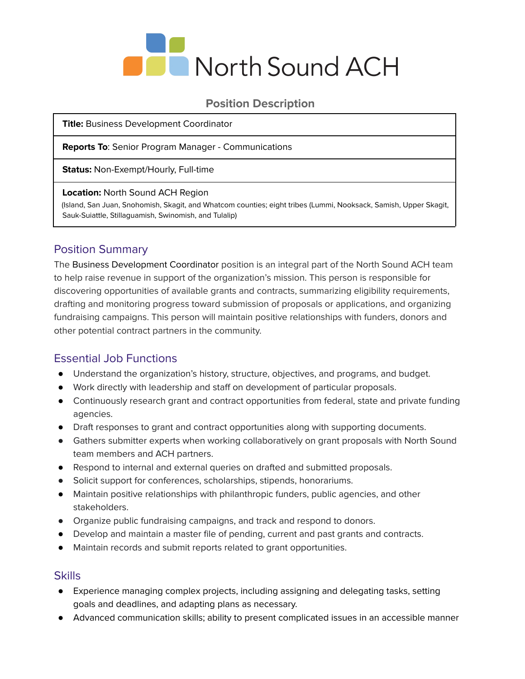

### **Position Description**

**Title:** Business Development Coordinator

**Reports To**: Senior Program Manager - Communications

**Status:** Non-Exempt/Hourly, Full-time

#### **Location:** North Sound ACH Region

(Island, San Juan, Snohomish, Skagit, and Whatcom counties; eight tribes (Lummi, Nooksack, Samish, Upper Skagit, Sauk-Suiattle, Stillaguamish, Swinomish, and Tulalip)

# Position Summary

The Business Development Coordinator position is an integral part of the North Sound ACH team to help raise revenue in support of the organization's mission. This person is responsible for discovering opportunities of available grants and contracts, summarizing eligibility requirements, drafting and monitoring progress toward submission of proposals or applications, and organizing fundraising campaigns. This person will maintain positive relationships with funders, donors and other potential contract partners in the community.

# Essential Job Functions

- Understand the organization's history, structure, objectives, and programs, and budget.
- Work directly with leadership and staff on development of particular proposals.
- Continuously research grant and contract opportunities from federal, state and private funding agencies.
- Draft responses to grant and contract opportunities along with supporting documents.
- Gathers submitter experts when working collaboratively on grant proposals with North Sound team members and ACH partners.
- Respond to internal and external queries on drafted and submitted proposals.
- Solicit support for conferences, scholarships, stipends, honorariums.
- Maintain positive relationships with philanthropic funders, public agencies, and other stakeholders.
- Organize public fundraising campaigns, and track and respond to donors.
- Develop and maintain a master file of pending, current and past grants and contracts.
- Maintain records and submit reports related to grant opportunities.

### **Skills**

- Experience managing complex projects, including assigning and delegating tasks, setting goals and deadlines, and adapting plans as necessary.
- Advanced communication skills; ability to present complicated issues in an accessible manner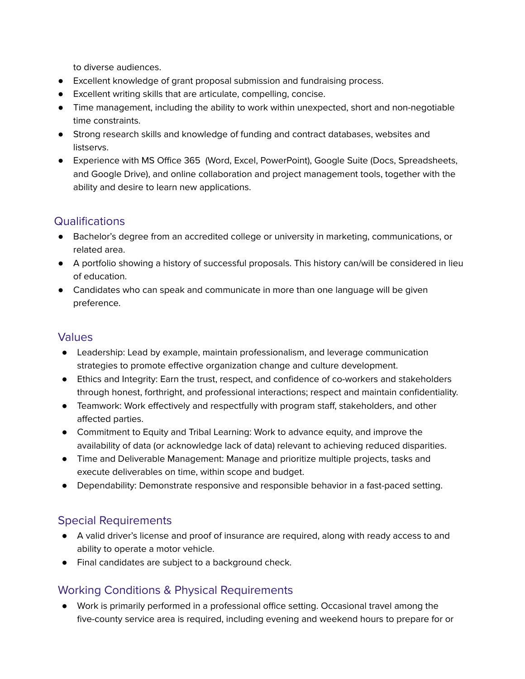to diverse audiences.

- Excellent knowledge of grant proposal submission and fundraising process.
- Excellent writing skills that are articulate, compelling, concise.
- Time management, including the ability to work within unexpected, short and non-negotiable time constraints.
- Strong research skills and knowledge of funding and contract databases, websites and listservs.
- Experience with MS Office 365 (Word, Excel, PowerPoint), Google Suite (Docs, Spreadsheets, and Google Drive), and online collaboration and project management tools, together with the ability and desire to learn new applications.

# **Qualifications**

- Bachelor's degree from an accredited college or university in marketing, communications, or related area.
- A portfolio showing a history of successful proposals. This history can/will be considered in lieu of education.
- Candidates who can speak and communicate in more than one language will be given preference.

# Values

- Leadership: Lead by example, maintain professionalism, and leverage communication strategies to promote effective organization change and culture development.
- Ethics and Integrity: Earn the trust, respect, and confidence of co-workers and stakeholders through honest, forthright, and professional interactions; respect and maintain confidentiality.
- Teamwork: Work effectively and respectfully with program staff, stakeholders, and other affected parties.
- Commitment to Equity and Tribal Learning: Work to advance equity, and improve the availability of data (or acknowledge lack of data) relevant to achieving reduced disparities.
- Time and Deliverable Management: Manage and prioritize multiple projects, tasks and execute deliverables on time, within scope and budget.
- Dependability: Demonstrate responsive and responsible behavior in a fast-paced setting.

# Special Requirements

- A valid driver's license and proof of insurance are required, along with ready access to and ability to operate a motor vehicle.
- Final candidates are subject to a background check.

# Working Conditions & Physical Requirements

● Work is primarily performed in a professional office setting. Occasional travel among the five-county service area is required, including evening and weekend hours to prepare for or